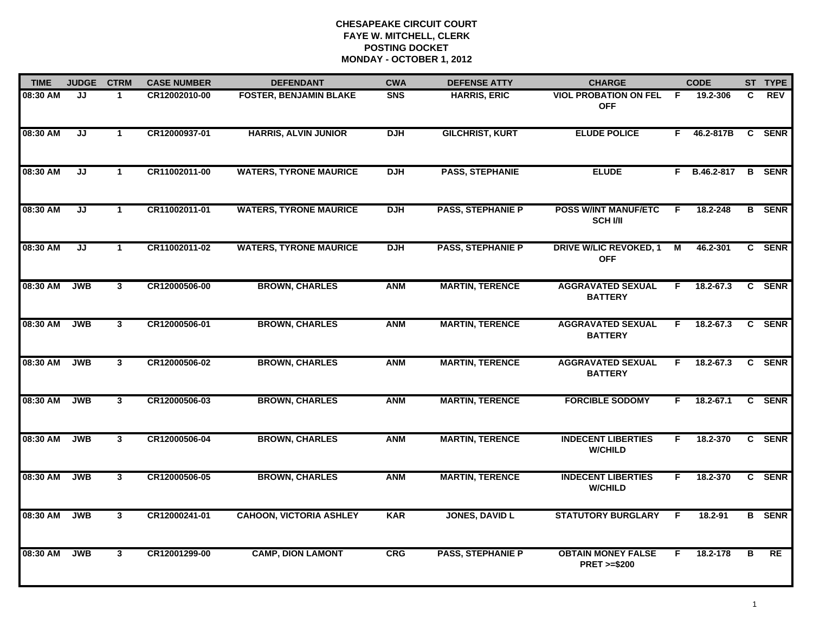| <b>TIME</b> | <b>JUDGE</b> | <b>CTRM</b>          | <b>CASE NUMBER</b> | <b>DEFENDANT</b>               | <b>CWA</b> | <b>DEFENSE ATTY</b>      | <b>CHARGE</b>                                       |    | <b>CODE</b>  |                | ST TYPE       |
|-------------|--------------|----------------------|--------------------|--------------------------------|------------|--------------------------|-----------------------------------------------------|----|--------------|----------------|---------------|
| 08:30 AM    | JJ           | $\mathbf 1$          | CR12002010-00      | <b>FOSTER, BENJAMIN BLAKE</b>  | <b>SNS</b> | <b>HARRIS, ERIC</b>      | <b>VIOL PROBATION ON FEL</b><br><b>OFF</b>          | -F | 19.2-306     | C.             | <b>REV</b>    |
| 08:30 AM    | JJ           | $\mathbf{1}$         | CR12000937-01      | <b>HARRIS, ALVIN JUNIOR</b>    | <b>DJH</b> | <b>GILCHRIST, KURT</b>   | <b>ELUDE POLICE</b>                                 | F. | 46.2-817B    | C              | <b>SENR</b>   |
| 08:30 AM    | JJ           | $\blacktriangleleft$ | CR11002011-00      | <b>WATERS, TYRONE MAURICE</b>  | <b>DJH</b> | <b>PASS, STEPHANIE</b>   | <b>ELUDE</b>                                        |    | F B.46.2-817 |                | <b>B</b> SENR |
| 08:30 AM    | JJ           | -1                   | CR11002011-01      | <b>WATERS, TYRONE MAURICE</b>  | <b>DJH</b> | <b>PASS, STEPHANIE P</b> | <b>POSS W/INT MANUF/ETC</b><br><b>SCH I/II</b>      | F  | 18.2-248     |                | <b>B</b> SENR |
| 08:30 AM    | JJ           | $\mathbf{1}$         | CR11002011-02      | <b>WATERS, TYRONE MAURICE</b>  | <b>DJH</b> | <b>PASS, STEPHANIE P</b> | <b>DRIVE W/LIC REVOKED, 1</b><br><b>OFF</b>         | M  | 46.2-301     |                | C SENR        |
| 08:30 AM    | <b>JWB</b>   | $3^{\circ}$          | CR12000506-00      | <b>BROWN, CHARLES</b>          | <b>ANM</b> | <b>MARTIN, TERENCE</b>   | <b>AGGRAVATED SEXUAL</b><br><b>BATTERY</b>          | F. | 18.2-67.3    |                | C SENR        |
| 08:30 AM    | <b>JWB</b>   | $\overline{3}$       | CR12000506-01      | <b>BROWN, CHARLES</b>          | <b>ANM</b> | <b>MARTIN, TERENCE</b>   | <b>AGGRAVATED SEXUAL</b><br><b>BATTERY</b>          | F. | 18.2-67.3    | $\overline{c}$ | <b>SENR</b>   |
| 08:30 AM    | <b>JWB</b>   | $\mathbf{3}$         | CR12000506-02      | <b>BROWN, CHARLES</b>          | <b>ANM</b> | <b>MARTIN, TERENCE</b>   | <b>AGGRAVATED SEXUAL</b><br><b>BATTERY</b>          | F. | 18.2-67.3    |                | C SENR        |
| 08:30 AM    | <b>JWB</b>   | 3                    | CR12000506-03      | <b>BROWN, CHARLES</b>          | <b>ANM</b> | <b>MARTIN, TERENCE</b>   | <b>FORCIBLE SODOMY</b>                              | F  | 18.2-67.1    |                | C SENR        |
| 08:30 AM    | <b>JWB</b>   | $\overline{3}$       | CR12000506-04      | <b>BROWN, CHARLES</b>          | <b>ANM</b> | <b>MARTIN, TERENCE</b>   | <b>INDECENT LIBERTIES</b><br><b>W/CHILD</b>         | F. | 18.2-370     |                | C SENR        |
| 08:30 AM    | <b>JWB</b>   | $3^{\circ}$          | CR12000506-05      | <b>BROWN, CHARLES</b>          | <b>ANM</b> | <b>MARTIN, TERENCE</b>   | <b>INDECENT LIBERTIES</b><br><b>W/CHILD</b>         | F. | 18.2-370     |                | C SENR        |
| 08:30 AM    | <b>JWB</b>   | $\mathbf{3}$         | CR12000241-01      | <b>CAHOON, VICTORIA ASHLEY</b> | <b>KAR</b> | <b>JONES, DAVID L</b>    | <b>STATUTORY BURGLARY</b>                           | F. | 18.2-91      |                | <b>B</b> SENR |
| 08:30 AM    | <b>JWB</b>   | $\mathbf{3}$         | CR12001299-00      | <b>CAMP, DION LAMONT</b>       | <b>CRG</b> | <b>PASS, STEPHANIE P</b> | <b>OBTAIN MONEY FALSE</b><br><b>PRET &gt;=\$200</b> | F. | 18.2-178     | в              | <b>RE</b>     |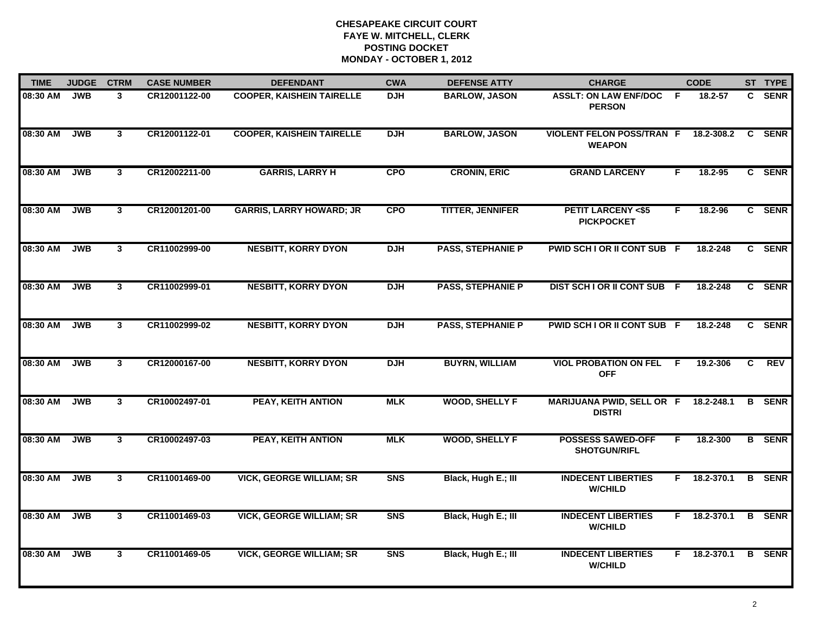| <b>TIME</b> | <b>JUDGE</b> | <b>CTRM</b>    | <b>CASE NUMBER</b> | <b>DEFENDANT</b>                 | <b>CWA</b> | <b>DEFENSE ATTY</b>      | <b>CHARGE</b>                                         |     | <b>CODE</b>        |              | ST TYPE       |
|-------------|--------------|----------------|--------------------|----------------------------------|------------|--------------------------|-------------------------------------------------------|-----|--------------------|--------------|---------------|
| 08:30 AM    | <b>JWB</b>   | 3              | CR12001122-00      | <b>COOPER, KAISHEIN TAIRELLE</b> | <b>DJH</b> | <b>BARLOW, JASON</b>     | <b>ASSLT: ON LAW ENF/DOC</b><br><b>PERSON</b>         | - F | 18.2-57            | C.           | <b>SENR</b>   |
| 08:30 AM    | <b>JWB</b>   | $\mathbf{3}$   | CR12001122-01      | <b>COOPER, KAISHEIN TAIRELLE</b> | <b>DJH</b> | <b>BARLOW, JASON</b>     | <b>VIOLENT FELON POSS/TRAN F</b><br><b>WEAPON</b>     |     | 18.2-308.2         | $\mathbf{c}$ | <b>SENR</b>   |
| 08:30 AM    | <b>JWB</b>   | $\mathbf{3}$   | CR12002211-00      | <b>GARRIS, LARRY H</b>           | <b>CPO</b> | <b>CRONIN, ERIC</b>      | <b>GRAND LARCENY</b>                                  | F   | 18.2-95            |              | C SENR        |
| 08:30 AM    | <b>JWB</b>   | 3 <sup>1</sup> | CR12001201-00      | <b>GARRIS, LARRY HOWARD; JR</b>  | <b>CPO</b> | <b>TITTER, JENNIFER</b>  | <b>PETIT LARCENY &lt;\$5</b><br><b>PICKPOCKET</b>     | F.  | 18.2-96            |              | C SENR        |
| 08:30 AM    | <b>JWB</b>   | 3 <sup>1</sup> | CR11002999-00      | <b>NESBITT, KORRY DYON</b>       | <b>DJH</b> | <b>PASS, STEPHANIE P</b> | PWID SCH I OR II CONT SUB F                           |     | 18.2-248           |              | C SENR        |
| 08:30 AM    | <b>JWB</b>   | $\mathbf{3}$   | CR11002999-01      | <b>NESBITT, KORRY DYON</b>       | <b>DJH</b> | <b>PASS, STEPHANIE P</b> | DIST SCH I OR II CONT SUB F                           |     | 18.2-248           |              | C SENR        |
| 08:30 AM    | <b>JWB</b>   | $\mathbf{3}$   | CR11002999-02      | <b>NESBITT, KORRY DYON</b>       | <b>DJH</b> | <b>PASS, STEPHANIE P</b> | PWID SCH I OR II CONT SUB F                           |     | 18.2-248           |              | C SENR        |
| 08:30 AM    | <b>JWB</b>   | 3              | CR12000167-00      | <b>NESBITT, KORRY DYON</b>       | <b>DJH</b> | <b>BUYRN, WILLIAM</b>    | <b>VIOL PROBATION ON FEL F</b><br><b>OFF</b>          |     | 19.2-306           | C            | REV           |
| 08:30 AM    | <b>JWB</b>   | 3              | CR10002497-01      | <b>PEAY, KEITH ANTION</b>        | <b>MLK</b> | <b>WOOD, SHELLY F</b>    | MARIJUANA PWID, SELL OR F 18.2-248.1<br><b>DISTRI</b> |     |                    |              | <b>B</b> SENR |
| 08:30 AM    | <b>JWB</b>   | $\mathbf{3}$   | CR10002497-03      | <b>PEAY, KEITH ANTION</b>        | <b>MLK</b> | <b>WOOD, SHELLY F</b>    | <b>POSSESS SAWED-OFF</b><br><b>SHOTGUN/RIFL</b>       | F.  | 18.2-300           |              | <b>B</b> SENR |
| 08:30 AM    | <b>JWB</b>   | $\overline{3}$ | CR11001469-00      | <b>VICK, GEORGE WILLIAM; SR</b>  | <b>SNS</b> | Black, Hugh E.; III      | <b>INDECENT LIBERTIES</b><br><b>W/CHILD</b>           | F.  | $18.2 - 370.1$     |              | <b>B</b> SENR |
| 08:30 AM    | <b>JWB</b>   | $\overline{3}$ | CR11001469-03      | <b>VICK, GEORGE WILLIAM; SR</b>  | <b>SNS</b> | Black, Hugh E.; III      | <b>INDECENT LIBERTIES</b><br><b>W/CHILD</b>           |     | $F = 18.2 - 370.1$ |              | <b>B</b> SENR |
| 08:30 AM    | <b>JWB</b>   | 3              | CR11001469-05      | <b>VICK, GEORGE WILLIAM; SR</b>  | <b>SNS</b> | Black, Hugh E.; III      | <b>INDECENT LIBERTIES</b><br><b>W/CHILD</b>           |     | F 18.2-370.1       |              | <b>B</b> SENR |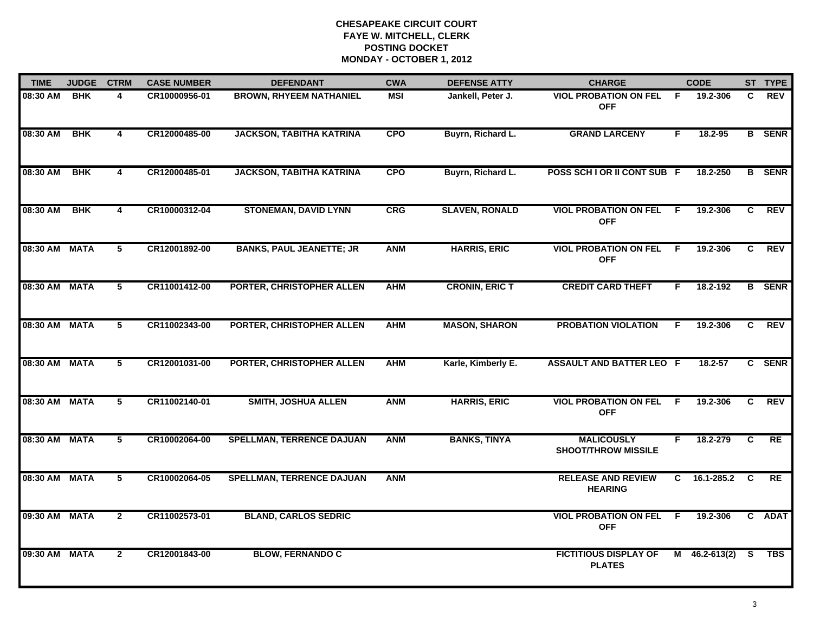| <b>TIME</b>   | <b>JUDGE</b> | <b>CTRM</b>    | <b>CASE NUMBER</b> | <b>DEFENDANT</b>                 | <b>CWA</b> | <b>DEFENSE ATTY</b>   | <b>CHARGE</b>                                   |     | <b>CODE</b>     |          | ST TYPE       |
|---------------|--------------|----------------|--------------------|----------------------------------|------------|-----------------------|-------------------------------------------------|-----|-----------------|----------|---------------|
| 08:30 AM      | <b>BHK</b>   | 4              | CR10000956-01      | <b>BROWN, RHYEEM NATHANIEL</b>   | <b>MSI</b> | Jankell, Peter J.     | <b>VIOL PROBATION ON FEL</b><br><b>OFF</b>      | -F  | 19.2-306        | C        | <b>REV</b>    |
| 08:30 AM      | <b>BHK</b>   | $\overline{4}$ | CR12000485-00      | <b>JACKSON, TABITHA KATRINA</b>  | <b>CPO</b> | Buyrn, Richard L.     | <b>GRAND LARCENY</b>                            | F.  | 18.2-95         |          | <b>B</b> SENR |
| 08:30 AM      | <b>BHK</b>   | 4              | CR12000485-01      | <b>JACKSON, TABITHA KATRINA</b>  | <b>CPO</b> | Buyrn, Richard L.     | POSS SCH I OR II CONT SUB F                     |     | 18.2-250        |          | <b>B</b> SENR |
| 08:30 AM      | <b>BHK</b>   | 4              | CR10000312-04      | <b>STONEMAN, DAVID LYNN</b>      | CRG        | <b>SLAVEN, RONALD</b> | <b>VIOL PROBATION ON FEL</b><br><b>OFF</b>      | - F | 19.2-306        | C        | <b>REV</b>    |
| 08:30 AM MATA |              | 5              | CR12001892-00      | <b>BANKS, PAUL JEANETTE; JR</b>  | <b>ANM</b> | <b>HARRIS, ERIC</b>   | <b>VIOL PROBATION ON FEL</b><br><b>OFF</b>      | - F | 19.2-306        | C        | <b>REV</b>    |
| 08:30 AM MATA |              | 5              | CR11001412-00      | PORTER, CHRISTOPHER ALLEN        | <b>AHM</b> | <b>CRONIN, ERIC T</b> | <b>CREDIT CARD THEFT</b>                        | F.  | 18.2-192        |          | <b>B</b> SENR |
| 08:30 AM MATA |              | 5              | CR11002343-00      | PORTER, CHRISTOPHER ALLEN        | <b>AHM</b> | <b>MASON, SHARON</b>  | <b>PROBATION VIOLATION</b>                      | F.  | 19.2-306        | C        | <b>REV</b>    |
| 08:30 AM MATA |              | 5              | CR12001031-00      | PORTER, CHRISTOPHER ALLEN        | <b>AHM</b> | Karle, Kimberly E.    | <b>ASSAULT AND BATTER LEO F</b>                 |     | 18.2-57         |          | C SENR        |
| 08:30 AM MATA |              | 5              | CR11002140-01      | <b>SMITH, JOSHUA ALLEN</b>       | <b>ANM</b> | <b>HARRIS, ERIC</b>   | <b>VIOL PROBATION ON FEL</b><br><b>OFF</b>      | - F | 19.2-306        | C        | <b>REV</b>    |
| 08:30 AM MATA |              | 5              | CR10002064-00      | <b>SPELLMAN, TERRENCE DAJUAN</b> | <b>ANM</b> | <b>BANKS, TINYA</b>   | <b>MALICOUSLY</b><br><b>SHOOT/THROW MISSILE</b> | F   | 18.2-279        | C        | RE            |
| 08:30 AM MATA |              | 5              | CR10002064-05      | <b>SPELLMAN, TERRENCE DAJUAN</b> | <b>ANM</b> |                       | <b>RELEASE AND REVIEW</b><br><b>HEARING</b>     | C.  | 16.1-285.2      | <b>C</b> | RE            |
| 09:30 AM MATA |              | $\overline{2}$ | CR11002573-01      | <b>BLAND, CARLOS SEDRIC</b>      |            |                       | <b>VIOL PROBATION ON FEL</b><br><b>OFF</b>      | -F  | 19.2-306        |          | C ADAT        |
| 09:30 AM MATA |              | $\mathbf{2}$   | CR12001843-00      | <b>BLOW, FERNANDO C</b>          |            |                       | <b>FICTITIOUS DISPLAY OF</b><br><b>PLATES</b>   |     | $M$ 46.2-613(2) | -S       | <b>TBS</b>    |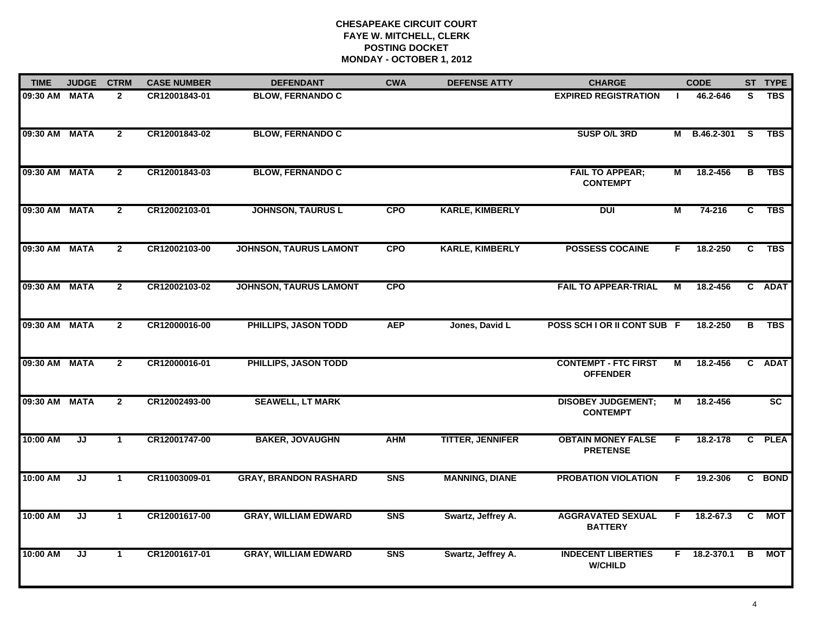| <b>TIME</b>   | <b>JUDGE</b>                      | <b>CTRM</b>    | <b>CASE NUMBER</b> | <b>DEFENDANT</b>              | <b>CWA</b> | <b>DEFENSE ATTY</b>     | <b>CHARGE</b>                                  |    | <b>CODE</b>        |                         | ST TYPE         |
|---------------|-----------------------------------|----------------|--------------------|-------------------------------|------------|-------------------------|------------------------------------------------|----|--------------------|-------------------------|-----------------|
| 09:30 AM MATA |                                   | $\mathbf{2}$   | CR12001843-01      | <b>BLOW, FERNANDO C</b>       |            |                         | <b>EXPIRED REGISTRATION</b>                    | л. | 46.2-646           | S.                      | <b>TBS</b>      |
| 09:30 AM MATA |                                   | $\overline{2}$ | CR12001843-02      | <b>BLOW, FERNANDO C</b>       |            |                         | SUSP O/L 3RD                                   |    | M B.46.2-301       | <b>S</b>                | <b>TBS</b>      |
| 09:30 AM      | <b>MATA</b>                       | $\overline{2}$ | CR12001843-03      | <b>BLOW, FERNANDO C</b>       |            |                         | <b>FAIL TO APPEAR;</b><br><b>CONTEMPT</b>      | М  | 18.2-456           | B                       | <b>TBS</b>      |
| 09:30 AM      | <b>MATA</b>                       | $\mathbf{2}$   | CR12002103-01      | <b>JOHNSON, TAURUS L</b>      | <b>CPO</b> | <b>KARLE, KIMBERLY</b>  | <b>DUI</b>                                     | М  | $74 - 216$         | C                       | <b>TBS</b>      |
| 09:30 AM      | <b>MATA</b>                       | $\overline{2}$ | CR12002103-00      | <b>JOHNSON, TAURUS LAMONT</b> | <b>CPO</b> | <b>KARLE, KIMBERLY</b>  | <b>POSSESS COCAINE</b>                         | F. | 18.2-250           | C                       | <b>TBS</b>      |
| 09:30 AM MATA |                                   | $\overline{2}$ | CR12002103-02      | <b>JOHNSON, TAURUS LAMONT</b> | <b>CPO</b> |                         | <b>FAIL TO APPEAR-TRIAL</b>                    | М  | 18.2-456           |                         | C ADAT          |
| 09:30 AM      | <b>MATA</b>                       | $\overline{2}$ | CR12000016-00      | PHILLIPS, JASON TODD          | <b>AEP</b> | Jones, David L          | POSS SCH I OR II CONT SUB F                    |    | 18.2-250           | $\overline{\mathbf{B}}$ | <b>TBS</b>      |
| 09:30 AM      | <b>MATA</b>                       | $\overline{2}$ | CR12000016-01      | PHILLIPS, JASON TODD          |            |                         | <b>CONTEMPT - FTC FIRST</b><br><b>OFFENDER</b> | М  | 18.2-456           | $\mathbf{c}$            | <b>ADAT</b>     |
| 09:30 AM      | <b>MATA</b>                       | $\overline{2}$ | CR12002493-00      | <b>SEAWELL, LT MARK</b>       |            |                         | <b>DISOBEY JUDGEMENT;</b><br><b>CONTEMPT</b>   | М  | 18.2-456           |                         | $\overline{sc}$ |
| 10:00 AM      | JJ                                | $\mathbf{1}$   | CR12001747-00      | <b>BAKER, JOVAUGHN</b>        | <b>AHM</b> | <b>TITTER, JENNIFER</b> | <b>OBTAIN MONEY FALSE</b><br><b>PRETENSE</b>   | F. | 18.2-178           |                         | C PLEA          |
| 10:00 AM      | JJ                                | $\mathbf{1}$   | CR11003009-01      | <b>GRAY, BRANDON RASHARD</b>  | <b>SNS</b> | <b>MANNING, DIANE</b>   | <b>PROBATION VIOLATION</b>                     | F. | 19.2-306           |                         | C BOND          |
| 10:00 AM      | $\overline{\mathsf{J}\mathsf{J}}$ | $\mathbf 1$    | CR12001617-00      | <b>GRAY, WILLIAM EDWARD</b>   | <b>SNS</b> | Swartz, Jeffrey A.      | <b>AGGRAVATED SEXUAL</b><br><b>BATTERY</b>     | F. | 18.2-67.3          | C                       | МОТ             |
| 10:00 AM      | JJ                                | $\mathbf{1}$   | CR12001617-01      | <b>GRAY, WILLIAM EDWARD</b>   | <b>SNS</b> | Swartz, Jeffrey A.      | <b>INDECENT LIBERTIES</b><br><b>W/CHILD</b>    |    | $F = 18.2 - 370.1$ | B                       | МОТ             |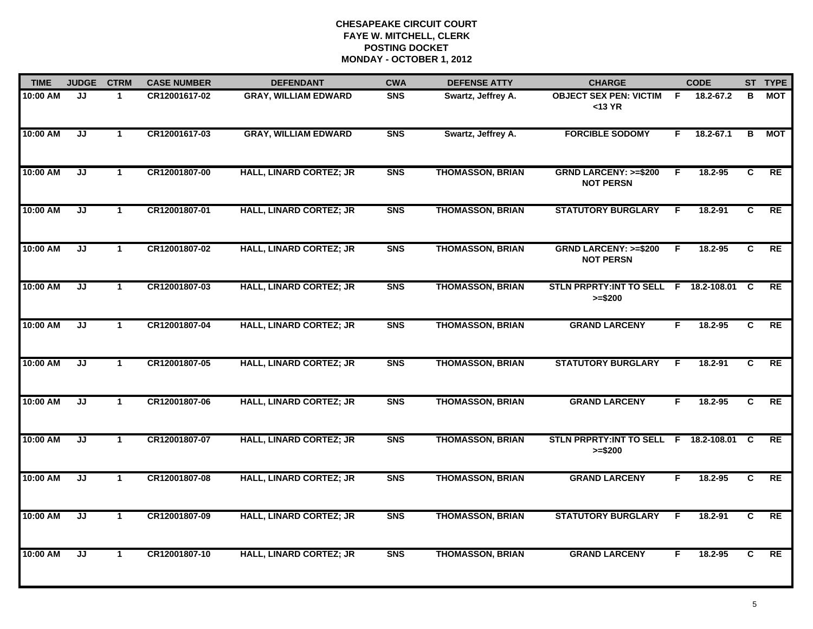| <b>TIME</b> | <b>JUDGE</b> | <b>CTRM</b>          | <b>CASE NUMBER</b> | <b>DEFENDANT</b>               | <b>CWA</b>     | <b>DEFENSE ATTY</b>     | <b>CHARGE</b>                                         |                | <b>CODE</b>   |                | ST TYPE   |
|-------------|--------------|----------------------|--------------------|--------------------------------|----------------|-------------------------|-------------------------------------------------------|----------------|---------------|----------------|-----------|
| 10:00 AM    | JJ           | $\mathbf{1}$         | CR12001617-02      | <b>GRAY, WILLIAM EDWARD</b>    | <b>SNS</b>     | Swartz, Jeffrey A.      | <b>OBJECT SEX PEN: VICTIM</b><br>$<$ 13 YR            | -F             | 18.2-67.2     | в              | МОТ       |
| 10:00 AM    | JJ           | $\mathbf{1}$         | CR12001617-03      | <b>GRAY, WILLIAM EDWARD</b>    | <b>SNS</b>     | Swartz, Jeffrey A.      | <b>FORCIBLE SODOMY</b>                                | F.             | $18.2 - 67.1$ | в              | МОТ       |
| 10:00 AM    | JJ           | $\mathbf 1$          | CR12001807-00      | <b>HALL, LINARD CORTEZ; JR</b> | <b>SNS</b>     | <b>THOMASSON, BRIAN</b> | <b>GRND LARCENY: &gt;=\$200</b><br><b>NOT PERSN</b>   | $\overline{F}$ | 18.2-95       | $\overline{c}$ | RE        |
| 10:00 AM    | JJ           | $\mathbf 1$          | CR12001807-01      | <b>HALL, LINARD CORTEZ; JR</b> | <b>SNS</b>     | <b>THOMASSON, BRIAN</b> | <b>STATUTORY BURGLARY</b>                             | F.             | 18.2-91       | C              | RE        |
| 10:00 AM    | JJ           | $\mathbf 1$          | CR12001807-02      | <b>HALL, LINARD CORTEZ; JR</b> | S <sub>N</sub> | <b>THOMASSON, BRIAN</b> | <b>GRND LARCENY: &gt;=\$200</b><br><b>NOT PERSN</b>   | F.             | $18.2 - 95$   | C              | <b>RE</b> |
| 10:00 AM    | JJ           | $\mathbf 1$          | CR12001807-03      | <b>HALL, LINARD CORTEZ; JR</b> | <b>SNS</b>     | <b>THOMASSON, BRIAN</b> | STLN PRPRTY: INT TO SELL F 18.2-108.01 C<br>$>= $200$ |                |               |                | <b>RE</b> |
| 10:00 AM    | JJ           | $\mathbf{1}$         | CR12001807-04      | <b>HALL, LINARD CORTEZ; JR</b> | <b>SNS</b>     | <b>THOMASSON, BRIAN</b> | <b>GRAND LARCENY</b>                                  | F.             | 18.2-95       | C              | RE        |
| 10:00 AM    | JJ           | $\mathbf 1$          | CR12001807-05      | <b>HALL, LINARD CORTEZ; JR</b> | <b>SNS</b>     | <b>THOMASSON, BRIAN</b> | <b>STATUTORY BURGLARY</b>                             | F              | 18.2-91       | C              | RE        |
| 10:00 AM    | JJ           | $\mathbf 1$          | CR12001807-06      | <b>HALL, LINARD CORTEZ; JR</b> | S <sub>N</sub> | <b>THOMASSON, BRIAN</b> | <b>GRAND LARCENY</b>                                  | F.             | $18.2 - 95$   | C              | RE        |
| 10:00 AM    | JJ           | $\blacktriangleleft$ | CR12001807-07      | <b>HALL, LINARD CORTEZ; JR</b> | S <sub>N</sub> | <b>THOMASSON, BRIAN</b> | STLN PRPRTY: INT TO SELL F 18.2-108.01<br>$>= $200$   |                |               | <b>C</b>       | <b>RE</b> |
| 10:00 AM    | JJ           | $\mathbf 1$          | CR12001807-08      | <b>HALL, LINARD CORTEZ; JR</b> | <b>SNS</b>     | <b>THOMASSON, BRIAN</b> | <b>GRAND LARCENY</b>                                  | F.             | 18.2-95       | C.             | RE        |
| 10:00 AM    | JJ           | $\mathbf{1}$         | CR12001807-09      | <b>HALL, LINARD CORTEZ; JR</b> | <b>SNS</b>     | <b>THOMASSON, BRIAN</b> | <b>STATUTORY BURGLARY</b>                             | F.             | 18.2-91       | C              | RE        |
| 10:00 AM    | JJ           | $\mathbf{1}$         | CR12001807-10      | <b>HALL, LINARD CORTEZ; JR</b> | <b>SNS</b>     | <b>THOMASSON, BRIAN</b> | <b>GRAND LARCENY</b>                                  | F.             | 18.2-95       | C              | RE        |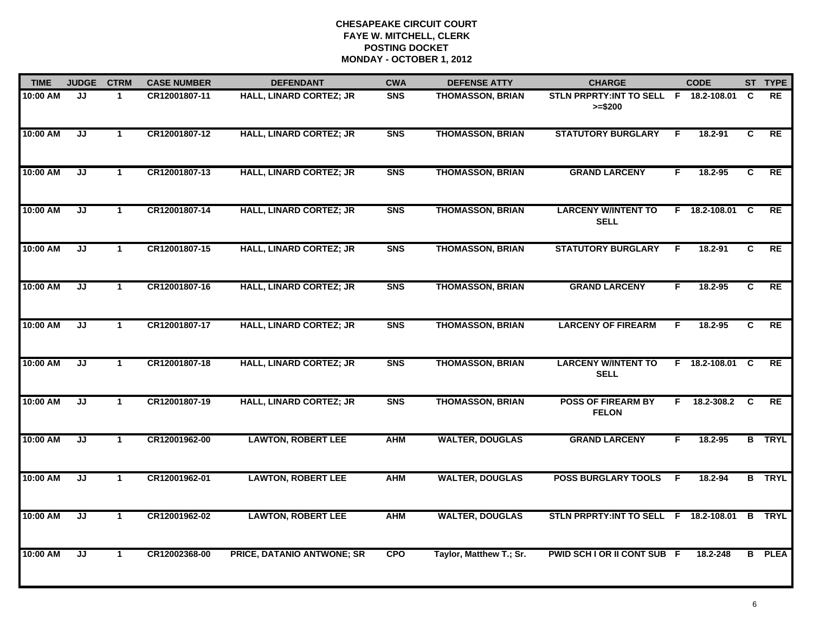| <b>TIME</b> | <b>JUDGE</b> | <b>CTRM</b>  | <b>CASE NUMBER</b> | <b>DEFENDANT</b>               | <b>CWA</b>     | <b>DEFENSE ATTY</b>     | <b>CHARGE</b>                                       |                | <b>CODE</b>     |                | ST TYPE       |
|-------------|--------------|--------------|--------------------|--------------------------------|----------------|-------------------------|-----------------------------------------------------|----------------|-----------------|----------------|---------------|
| 10:00 AM    | JJ           | 1.           | CR12001807-11      | <b>HALL, LINARD CORTEZ; JR</b> | <b>SNS</b>     | <b>THOMASSON, BRIAN</b> | STLN PRPRTY: INT TO SELL F 18.2-108.01<br>$>= $200$ |                |                 | <b>C</b>       | <b>RE</b>     |
| 10:00 AM    | JJ           | $\mathbf{1}$ | CR12001807-12      | <b>HALL, LINARD CORTEZ; JR</b> | <b>SNS</b>     | <b>THOMASSON, BRIAN</b> | <b>STATUTORY BURGLARY</b>                           | F.             | 18.2-91         | C              | RE            |
| 10:00 AM    | JJ           | $\mathbf{1}$ | CR12001807-13      | <b>HALL, LINARD CORTEZ; JR</b> | <b>SNS</b>     | <b>THOMASSON, BRIAN</b> | <b>GRAND LARCENY</b>                                | F              | 18.2-95         | C              | <b>RE</b>     |
| 10:00 AM    | JJ           | 1.           | CR12001807-14      | <b>HALL, LINARD CORTEZ; JR</b> | <b>SNS</b>     | <b>THOMASSON, BRIAN</b> | <b>LARCENY W/INTENT TO</b><br><b>SELL</b>           |                | F 18.2-108.01 C |                | <b>RE</b>     |
| 10:00 AM    | JJ           | $\mathbf{1}$ | CR12001807-15      | <b>HALL, LINARD CORTEZ; JR</b> | S <sub>N</sub> | <b>THOMASSON, BRIAN</b> | <b>STATUTORY BURGLARY</b>                           | F.             | 18.2-91         | C              | RE            |
| 10:00 AM    | JJ           | $\mathbf 1$  | CR12001807-16      | <b>HALL, LINARD CORTEZ; JR</b> | <b>SNS</b>     | <b>THOMASSON, BRIAN</b> | <b>GRAND LARCENY</b>                                | F.             | 18.2-95         | C.             | <b>RE</b>     |
| 10:00 AM    | JJ           | $\mathbf{1}$ | CR12001807-17      | <b>HALL, LINARD CORTEZ; JR</b> | <b>SNS</b>     | <b>THOMASSON, BRIAN</b> | <b>LARCENY OF FIREARM</b>                           | $\overline{F}$ | 18.2-95         | $\overline{c}$ | RE            |
| 10:00 AM    | JJ           | $\mathbf 1$  | CR12001807-18      | <b>HALL, LINARD CORTEZ; JR</b> | <b>SNS</b>     | <b>THOMASSON, BRIAN</b> | <b>LARCENY W/INTENT TO</b><br><b>SELL</b>           |                | F 18.2-108.01 C |                | RE            |
| 10:00 AM    | JJ           | $\mathbf{1}$ | CR12001807-19      | <b>HALL, LINARD CORTEZ; JR</b> | S <sub>N</sub> | <b>THOMASSON, BRIAN</b> | <b>POSS OF FIREARM BY</b><br><b>FELON</b>           | F.             | 18.2-308.2      | $\mathbf{C}$   | <b>RE</b>     |
| 10:00 AM    | JJ           | $\mathbf{1}$ | CR12001962-00      | <b>LAWTON, ROBERT LEE</b>      | <b>AHM</b>     | <b>WALTER, DOUGLAS</b>  | <b>GRAND LARCENY</b>                                | F.             | 18.2-95         |                | <b>B</b> TRYL |
| 10:00 AM    | JJ           | $\mathbf 1$  | CR12001962-01      | <b>LAWTON, ROBERT LEE</b>      | <b>AHM</b>     | <b>WALTER, DOUGLAS</b>  | POSS BURGLARY TOOLS F                               |                | 18.2-94         |                | <b>B</b> TRYL |
| 10:00 AM    | JJ           | $\mathbf{1}$ | CR12001962-02      | <b>LAWTON, ROBERT LEE</b>      | <b>AHM</b>     | <b>WALTER, DOUGLAS</b>  | STLN PRPRTY: INT TO SELL F 18.2-108.01              |                |                 |                | <b>B</b> TRYL |
| 10:00 AM    | JJ           | $\mathbf 1$  | CR12002368-00      | PRICE, DATANIO ANTWONE; SR     | <b>CPO</b>     | Taylor, Matthew T.; Sr. | PWID SCH I OR II CONT SUB F                         |                | 18.2-248        |                | <b>B</b> PLEA |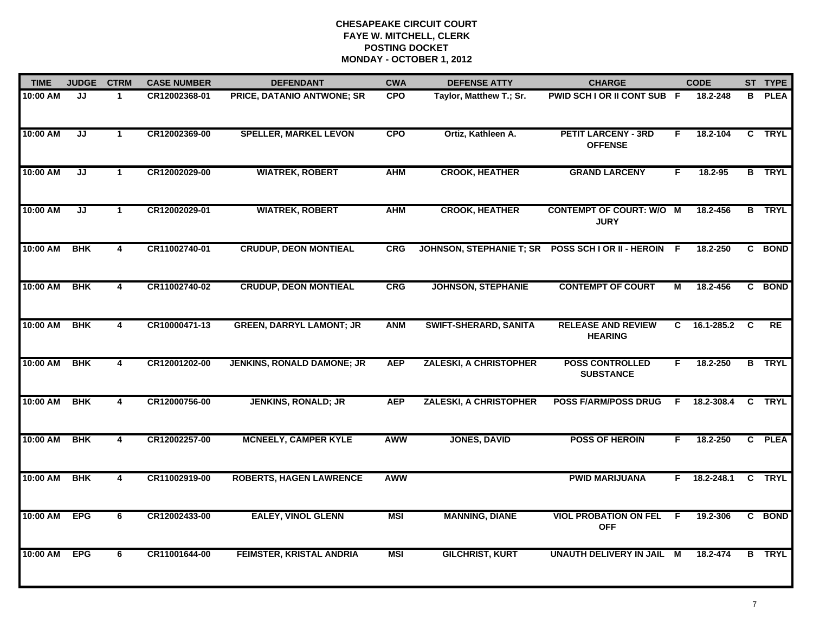| <b>TIME</b> | <b>JUDGE</b> | <b>CTRM</b>             | <b>CASE NUMBER</b> | <b>DEFENDANT</b>                  | <b>CWA</b> | <b>DEFENSE ATTY</b>             | <b>CHARGE</b>                                  |          | <b>CODE</b> |    | ST TYPE       |
|-------------|--------------|-------------------------|--------------------|-----------------------------------|------------|---------------------------------|------------------------------------------------|----------|-------------|----|---------------|
| 10:00 AM    | JJ           | $\blacktriangleleft$    | CR12002368-01      | PRICE, DATANIO ANTWONE; SR        | <b>CPO</b> | Taylor, Matthew T.; Sr.         | PWID SCH I OR II CONT SUB F                    |          | 18.2-248    |    | <b>B</b> PLEA |
| 10:00 AM    | JJ           | $\blacktriangleleft$    | CR12002369-00      | <b>SPELLER, MARKEL LEVON</b>      | <b>CPO</b> | Ortiz, Kathleen A.              | <b>PETIT LARCENY - 3RD</b><br><b>OFFENSE</b>   | F        | 18.2-104    |    | C TRYL        |
| 10:00 AM    | JJ           | $\mathbf{1}$            | CR12002029-00      | <b>WIATREK, ROBERT</b>            | <b>AHM</b> | <b>CROOK, HEATHER</b>           | <b>GRAND LARCENY</b>                           | F        | 18.2-95     |    | <b>B</b> TRYL |
| 10:00 AM    | JJ           | -1                      | CR12002029-01      | <b>WIATREK, ROBERT</b>            | <b>AHM</b> | <b>CROOK, HEATHER</b>           | <b>CONTEMPT OF COURT: W/O M</b><br><b>JURY</b> |          | 18.2-456    |    | <b>B</b> TRYL |
| 10:00 AM    | <b>BHK</b>   | 4                       | CR11002740-01      | <b>CRUDUP, DEON MONTIEAL</b>      | <b>CRG</b> | <b>JOHNSON, STEPHANIE T; SR</b> | POSS SCH I OR II - HEROIN                      | -F       | 18.2-250    |    | C BOND        |
| 10:00 AM    | <b>BHK</b>   | 4                       | CR11002740-02      | <b>CRUDUP, DEON MONTIEAL</b>      | CRG        | <b>JOHNSON, STEPHANIE</b>       | <b>CONTEMPT OF COURT</b>                       | М        | 18.2-456    |    | C BOND        |
| 10:00 AM    | <b>BHK</b>   | $\overline{\mathbf{4}}$ | CR10000471-13      | <b>GREEN, DARRYL LAMONT; JR</b>   | <b>ANM</b> | <b>SWIFT-SHERARD, SANITA</b>    | <b>RELEASE AND REVIEW</b><br><b>HEARING</b>    | C        | 16.1-285.2  | C  | RE            |
| 10:00 AM    | <b>BHK</b>   | 4                       | CR12001202-00      | <b>JENKINS, RONALD DAMONE; JR</b> | <b>AEP</b> | <b>ZALESKI, A CHRISTOPHER</b>   | <b>POSS CONTROLLED</b><br><b>SUBSTANCE</b>     | F.       | 18.2-250    |    | <b>B</b> TRYL |
| 10:00 AM    | <b>BHK</b>   | 4                       | CR12000756-00      | <b>JENKINS, RONALD; JR</b>        | <b>AEP</b> | <b>ZALESKI, A CHRISTOPHER</b>   | <b>POSS F/ARM/POSS DRUG</b>                    | F        | 18.2-308.4  |    | C TRYL        |
| 10:00 AM    | <b>BHK</b>   | 4                       | CR12002257-00      | <b>MCNEELY, CAMPER KYLE</b>       | AWW        | <b>JONES, DAVID</b>             | <b>POSS OF HEROIN</b>                          | F        | 18.2-250    |    | C PLEA        |
| 10:00 AM    | <b>BHK</b>   | $\overline{\mathbf{4}}$ | CR11002919-00      | <b>ROBERTS, HAGEN LAWRENCE</b>    | <b>AWW</b> |                                 | <b>PWID MARIJUANA</b>                          | F.       | 18.2-248.1  | C. | <b>TRYL</b>   |
| 10:00 AM    | <b>EPG</b>   | 6                       | CR12002433-00      | <b>EALEY, VINOL GLENN</b>         | <b>MSI</b> | <b>MANNING, DIANE</b>           | <b>VIOL PROBATION ON FEL</b><br><b>OFF</b>     | F        | 19.2-306    |    | C BOND        |
| 10:00 AM    | <b>EPG</b>   | 6                       | CR11001644-00      | <b>FEIMSTER, KRISTAL ANDRIA</b>   | MSI        | <b>GILCHRIST, KURT</b>          | UNAUTH DELIVERY IN JAIL                        | <b>M</b> | 18.2-474    | В  | <b>TRYL</b>   |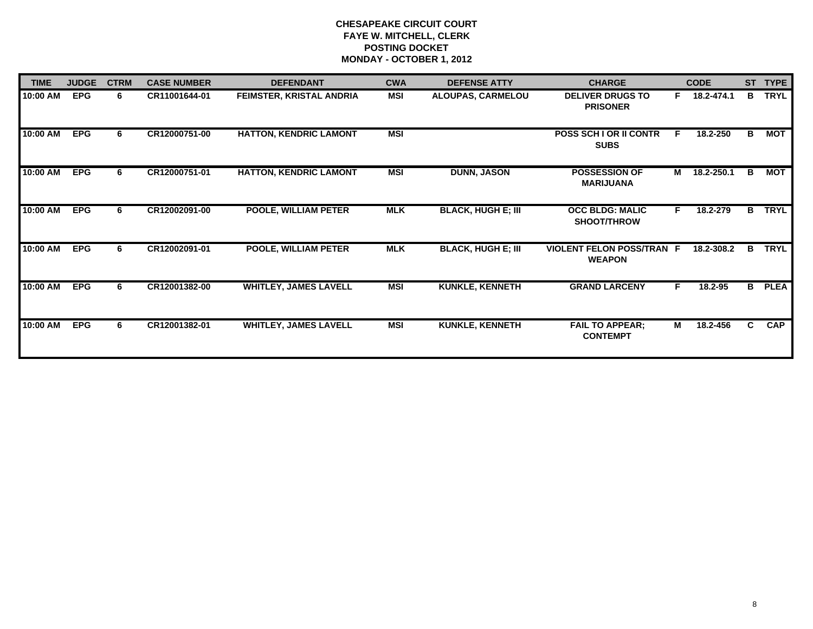| <b>TIME</b> | <b>JUDGE</b> | <b>CTRM</b> | <b>CASE NUMBER</b> | <b>DEFENDANT</b>              | <b>CWA</b> | <b>DEFENSE ATTY</b>       | <b>CHARGE</b>                                     |    | <b>CODE</b>  |    | ST TYPE     |
|-------------|--------------|-------------|--------------------|-------------------------------|------------|---------------------------|---------------------------------------------------|----|--------------|----|-------------|
| 10:00 AM    | <b>EPG</b>   | 6           | CR11001644-01      | FEIMSTER, KRISTAL ANDRIA      | <b>MSI</b> | ALOUPAS, CARMELOU         | <b>DELIVER DRUGS TO</b><br><b>PRISONER</b>        |    | F 18.2-474.1 | B  | <b>TRYL</b> |
| 10:00 AM    | <b>EPG</b>   | 6.          | CR12000751-00      | <b>HATTON, KENDRIC LAMONT</b> | MSI        |                           | <b>POSS SCH LOR II CONTR</b><br><b>SUBS</b>       | F. | 18.2-250     | B. | МОТ         |
| 10:00 AM    | <b>EPG</b>   | 6           | CR12000751-01      | <b>HATTON, KENDRIC LAMONT</b> | <b>MSI</b> | <b>DUNN, JASON</b>        | <b>POSSESSION OF</b><br><b>MARIJUANA</b>          | M  | 18.2-250.1   | B  | МОТ         |
| 10:00 AM    | <b>EPG</b>   | 6           | CR12002091-00      | <b>POOLE, WILLIAM PETER</b>   | <b>MLK</b> | <b>BLACK, HUGH E; III</b> | <b>OCC BLDG: MALIC</b><br><b>SHOOT/THROW</b>      | F. | 18.2-279     | B  | <b>TRYL</b> |
| 10:00 AM    | <b>EPG</b>   | 6.          | CR12002091-01      | <b>POOLE, WILLIAM PETER</b>   | <b>MLK</b> | <b>BLACK, HUGH E; III</b> | <b>VIOLENT FELON POSS/TRAN F</b><br><b>WEAPON</b> |    | 18.2-308.2   | в  | <b>TRYL</b> |
| 10:00 AM    | <b>EPG</b>   | 6           | CR12001382-00      | <b>WHITLEY, JAMES LAVELL</b>  | MSI        | <b>KUNKLE, KENNETH</b>    | <b>GRAND LARCENY</b>                              | F. | 18.2-95      | B  | <b>PLEA</b> |
| 10:00 AM    | <b>EPG</b>   | 6.          | CR12001382-01      | <b>WHITLEY, JAMES LAVELL</b>  | MSI        | <b>KUNKLE, KENNETH</b>    | <b>FAIL TO APPEAR;</b><br><b>CONTEMPT</b>         | М  | 18.2-456     | C. | <b>CAP</b>  |